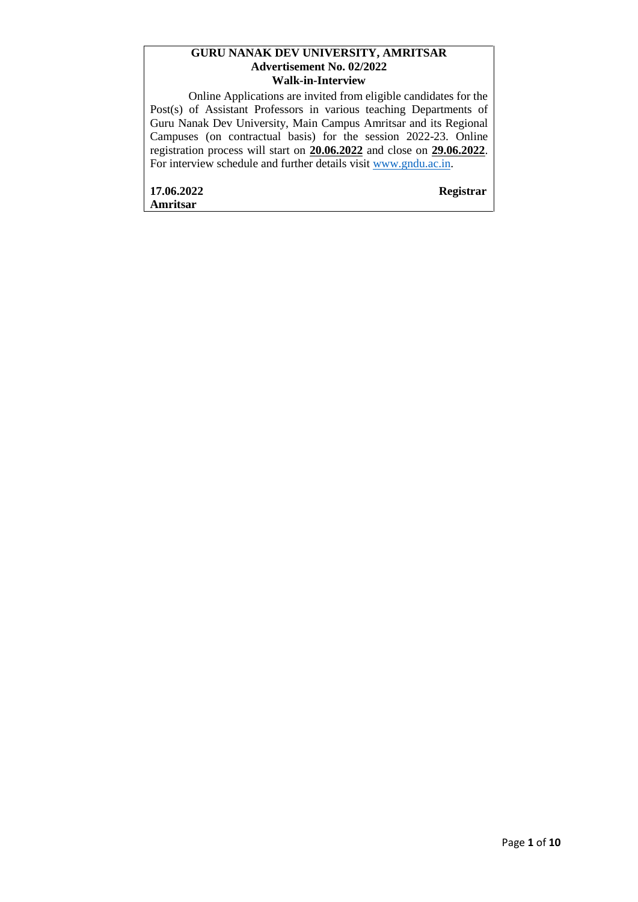#### **GURU NANAK DEV UNIVERSITY, AMRITSAR Advertisement No. 02/2022 Walk-in-Interview**

Online Applications are invited from eligible candidates for the Post(s) of Assistant Professors in various teaching Departments of Guru Nanak Dev University, Main Campus Amritsar and its Regional Campuses (on contractual basis) for the session 2022-23. Online registration process will start on **20.06.2022** and close on **29.06.2022**. For interview schedule and further details visit [www.gndu.ac.in.](http://www.gndu.ac.in/)

**17.06.2022 Registrar Amritsar**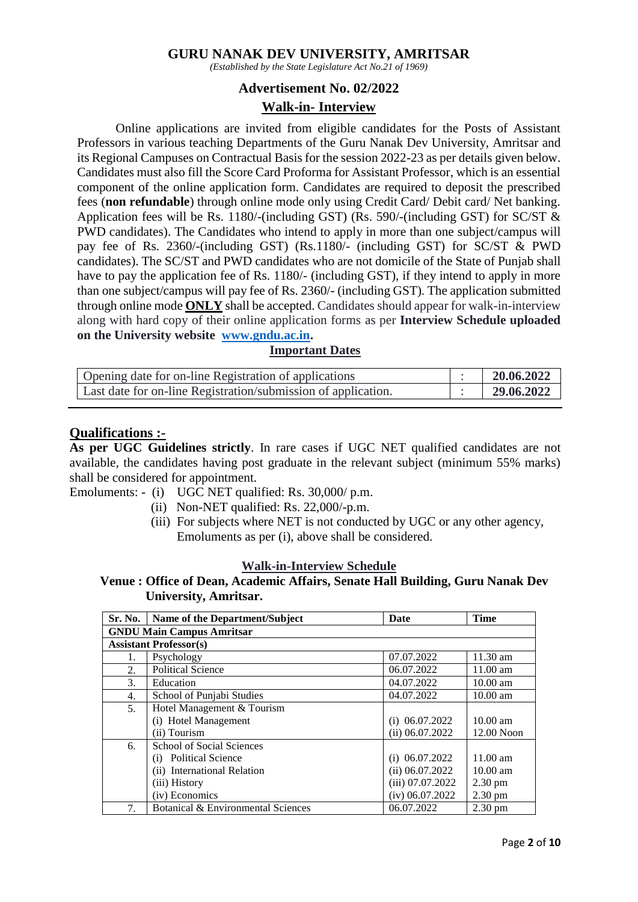### **GURU NANAK DEV UNIVERSITY, AMRITSAR**

*(Established by the State Legislature Act No.21 of 1969)*

### **Advertisement No. 02/2022**

### **Walk-in- Interview**

Online applications are invited from eligible candidates for the Posts of Assistant Professors in various teaching Departments of the Guru Nanak Dev University, Amritsar and its Regional Campuses on Contractual Basis for the session 2022-23 as per details given below. Candidates must also fill the Score Card Proforma for Assistant Professor, which is an essential component of the online application form. Candidates are required to deposit the prescribed fees (**non refundable**) through online mode only using Credit Card/ Debit card/ Net banking. Application fees will be Rs. 1180/-(including GST) (Rs. 590/-(including GST) for SC/ST & PWD candidates). The Candidates who intend to apply in more than one subject/campus will pay fee of Rs. 2360/-(including GST) (Rs.1180/- (including GST) for SC/ST & PWD candidates). The SC/ST and PWD candidates who are not domicile of the State of Punjab shall have to pay the application fee of Rs. 1180/- (including GST), if they intend to apply in more than one subject/campus will pay fee of Rs. 2360/- (including GST). The application submitted through online mode **ONLY** shall be accepted. Candidates should appear for walk-in-interview along with hard copy of their online application forms as per **Interview Schedule uploaded on the University website [www.gndu.ac.in.](http://www.gndu.ac.in/)**

### **Important Dates**

| Opening date for on-line Registration of applications         | 20.06.2022 |
|---------------------------------------------------------------|------------|
| Last date for on-line Registration/submission of application. | 29.06.2022 |

#### **Qualifications :-**

**As per UGC Guidelines strictly**. In rare cases if UGC NET qualified candidates are not available, the candidates having post graduate in the relevant subject (minimum 55% marks) shall be considered for appointment.

Emoluments: - (i) UGC NET qualified: Rs. 30,000/ p.m.

- (ii) Non-NET qualified: Rs. 22,000/-p.m.
- (iii) For subjects where NET is not conducted by UGC or any other agency, Emoluments as per (i), above shall be considered.

### **Walk-in-Interview Schedule**

### **Venue : Office of Dean, Academic Affairs, Senate Hall Building, Guru Nanak Dev University, Amritsar.**

| <b>Sr. No.</b>                   | <b>Name of the Department/Subject</b> | <b>Date</b>        | <b>Time</b>        |  |  |  |
|----------------------------------|---------------------------------------|--------------------|--------------------|--|--|--|
| <b>GNDU Main Campus Amritsar</b> |                                       |                    |                    |  |  |  |
| <b>Assistant Professor(s)</b>    |                                       |                    |                    |  |  |  |
| 1.                               | Psychology                            | 07.07.2022         | $11.30$ am         |  |  |  |
| 2.                               | <b>Political Science</b>              | 06.07.2022         | $11.00$ am         |  |  |  |
| 3.                               | Education                             | 04.07.2022         | $10.00$ am         |  |  |  |
| 4.                               | School of Punjabi Studies             | 04.07.2022         | $10.00$ am         |  |  |  |
| 5 <sub>1</sub>                   | Hotel Management & Tourism            |                    |                    |  |  |  |
|                                  | (i) Hotel Management                  | $(i)$ 06.07.2022   | $10.00$ am         |  |  |  |
|                                  | (ii) Tourism                          | (ii) 06.07.2022    | 12.00 Noon         |  |  |  |
| 6.                               | <b>School of Social Sciences</b>      |                    |                    |  |  |  |
|                                  | (i) Political Science                 | $(i)$ 06.07.2022   | $11.00 \text{ am}$ |  |  |  |
|                                  | (ii) International Relation           | $(ii)$ 06.07.2022  | $10.00 \text{ am}$ |  |  |  |
|                                  | (iii) History                         | $(iii)$ 07.07.2022 | $2.30 \text{ pm}$  |  |  |  |
|                                  | (iv) Economics                        | $(iv)$ 06.07.2022  | 2.30 pm            |  |  |  |
| 7.                               | Botanical & Environmental Sciences    | 06.07.2022         | $2.30 \text{ pm}$  |  |  |  |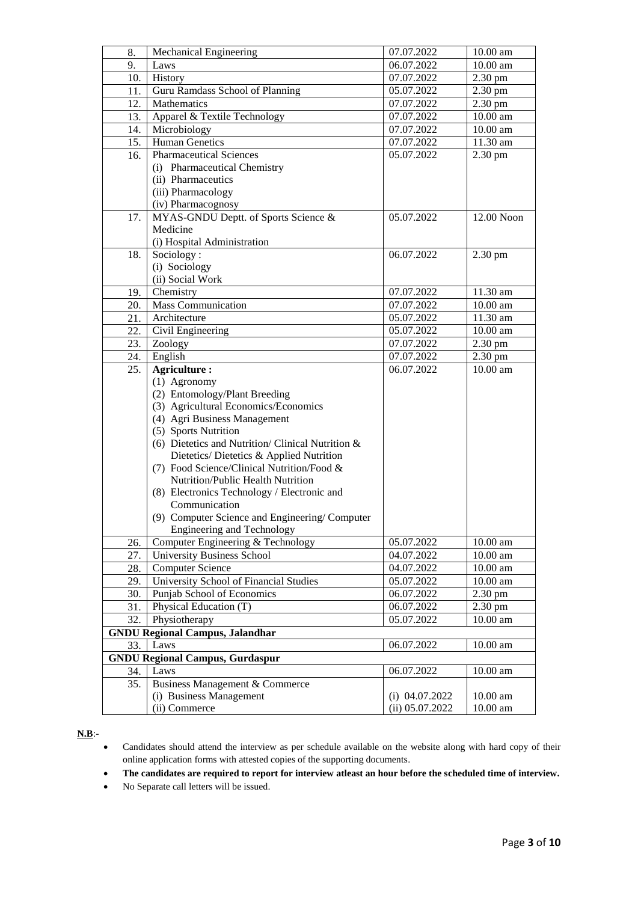| 8.  | Mechanical Engineering                              | 07.07.2022        | $10.00 \text{ am}$ |
|-----|-----------------------------------------------------|-------------------|--------------------|
| 9.  | Laws                                                | 06.07.2022        | $10.00$ am         |
| 10. | History                                             | 07.07.2022        | 2.30 pm            |
| 11. | Guru Ramdass School of Planning                     | 05.07.2022        | 2.30 pm            |
| 12. | Mathematics                                         | 07.07.2022        | $2.30 \text{ pm}$  |
| 13. | Apparel & Textile Technology                        | 07.07.2022        | 10.00 am           |
| 14. | Microbiology                                        | 07.07.2022        | 10.00 am           |
| 15. | Human Genetics                                      | 07.07.2022        | 11.30 am           |
| 16. | <b>Pharmaceutical Sciences</b>                      | 05.07.2022        | $2.30 \text{ pm}$  |
|     | (i) Pharmaceutical Chemistry                        |                   |                    |
|     | (ii) Pharmaceutics                                  |                   |                    |
|     | (iii) Pharmacology                                  |                   |                    |
|     | (iv) Pharmacognosy                                  |                   |                    |
| 17. | MYAS-GNDU Deptt. of Sports Science &                | 05.07.2022        | 12.00 Noon         |
|     | Medicine                                            |                   |                    |
|     | (i) Hospital Administration                         |                   |                    |
| 18. | Sociology:                                          | 06.07.2022        | 2.30 pm            |
|     | (i) Sociology                                       |                   |                    |
|     | (ii) Social Work                                    |                   |                    |
| 19. | Chemistry                                           | 07.07.2022        | 11.30 am           |
| 20. | <b>Mass Communication</b>                           | 07.07.2022        | 10.00 am           |
| 21. | Architecture                                        | 05.07.2022        | 11.30 am           |
| 22. | Civil Engineering                                   | 05.07.2022        | $10.00$ am         |
| 23. | Zoology                                             | 07.07.2022        | $2.30 \text{ pm}$  |
| 24. | English                                             | 07.07.2022        | 2.30 pm            |
| 25. | <b>Agriculture:</b>                                 | 06.07.2022        | 10.00 am           |
|     | (1) Agronomy                                        |                   |                    |
|     | (2) Entomology/Plant Breeding                       |                   |                    |
|     | (3) Agricultural Economics/Economics                |                   |                    |
|     | (4) Agri Business Management                        |                   |                    |
|     | (5) Sports Nutrition                                |                   |                    |
|     | (6) Dietetics and Nutrition/Clinical Nutrition $\&$ |                   |                    |
|     | Dietetics/Dietetics & Applied Nutrition             |                   |                    |
|     | (7) Food Science/Clinical Nutrition/Food &          |                   |                    |
|     | Nutrition/Public Health Nutrition                   |                   |                    |
|     | (8) Electronics Technology / Electronic and         |                   |                    |
|     | Communication                                       |                   |                    |
|     | (9) Computer Science and Engineering/Computer       |                   |                    |
|     | <b>Engineering and Technology</b>                   |                   |                    |
| 26. | Computer Engineering & Technology                   | 05.07.2022        | $10.00$ am         |
| 27. | University Business School                          | 04.07.2022        | $10.00$ am         |
| 28. | <b>Computer Science</b>                             | 04.07.2022        | $10.00$ am         |
| 29. | University School of Financial Studies              | 05.07.2022        | $10.00$ am         |
| 30. | Punjab School of Economics                          | 06.07.2022        | 2.30 pm            |
| 31. | Physical Education (T)                              | 06.07.2022        | 2.30 pm            |
| 32. | Physiotherapy                                       | 05.07.2022        | $10.00$ am         |
|     | <b>GNDU Regional Campus, Jalandhar</b>              |                   |                    |
| 33. | Laws                                                | 06.07.2022        | $10.00$ am         |
|     | <b>GNDU Regional Campus, Gurdaspur</b>              |                   |                    |
| 34. | Laws                                                | 06.07.2022        | $10.00$ am         |
| 35. | Business Management & Commerce                      |                   |                    |
|     | (i) Business Management                             | $(i)$ 04.07.2022  | $10.00$ am         |
|     | (ii) Commerce                                       | $(ii)$ 05.07.2022 | $10.00$ am         |

#### **N.B**:-

 Candidates should attend the interview as per schedule available on the website along with hard copy of their online application forms with attested copies of the supporting documents.

**The candidates are required to report for interview atleast an hour before the scheduled time of interview.**

No Separate call letters will be issued.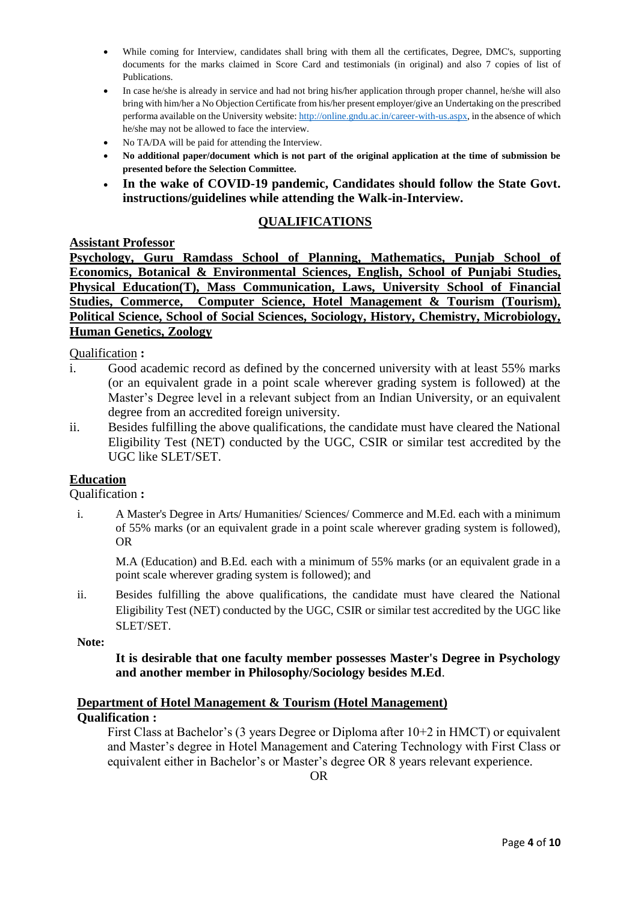- While coming for Interview, candidates shall bring with them all the certificates, Degree, DMC's, supporting documents for the marks claimed in Score Card and testimonials (in original) and also 7 copies of list of Publications.
- In case he/she is already in service and had not bring his/her application through proper channel, he/she will also bring with him/her a No Objection Certificate from his/her present employer/give an Undertaking on the prescribed performa available on the University website[: http://online.gndu.ac.in/career-with-us.aspx,](http://online.gndu.ac.in/career-with-us.aspx) in the absence of which he/she may not be allowed to face the interview.
- No TA/DA will be paid for attending the Interview.
- **No additional paper/document which is not part of the original application at the time of submission be presented before the Selection Committee.**
- **In the wake of COVID-19 pandemic, Candidates should follow the State Govt. instructions/guidelines while attending the Walk-in-Interview.**

### **QUALIFICATIONS**

### **Assistant Professor**

**Psychology, Guru Ramdass School of Planning, Mathematics, Punjab School of Economics, Botanical & Environmental Sciences, English, School of Punjabi Studies, Physical Education(T), Mass Communication, Laws, University School of Financial Studies, Commerce, Computer Science, Hotel Management & Tourism (Tourism), Political Science, School of Social Sciences, Sociology, History, Chemistry, Microbiology, Human Genetics, Zoology**

Qualification **:**

- i. Good academic record as defined by the concerned university with at least 55% marks (or an equivalent grade in a point scale wherever grading system is followed) at the Master's Degree level in a relevant subject from an Indian University, or an equivalent degree from an accredited foreign university.
- ii. Besides fulfilling the above qualifications, the candidate must have cleared the National Eligibility Test (NET) conducted by the UGC, CSIR or similar test accredited by the UGC like SLET/SET.

### **Education**

Qualification **:**

i. A Master's Degree in Arts/ Humanities/ Sciences/ Commerce and M.Ed. each with a minimum of 55% marks (or an equivalent grade in a point scale wherever grading system is followed), OR

M.A (Education) and B.Ed. each with a minimum of 55% marks (or an equivalent grade in a point scale wherever grading system is followed); and

ii. Besides fulfilling the above qualifications, the candidate must have cleared the National Eligibility Test (NET) conducted by the UGC, CSIR or similar test accredited by the UGC like SLET/SET.

**Note:**

### **It is desirable that one faculty member possesses Master's Degree in Psychology and another member in Philosophy/Sociology besides M.Ed**.

### **Department of Hotel Management & Tourism (Hotel Management) Qualification :**

First Class at Bachelor's (3 years Degree or Diploma after 10+2 in HMCT) or equivalent and Master's degree in Hotel Management and Catering Technology with First Class or equivalent either in Bachelor's or Master's degree OR 8 years relevant experience.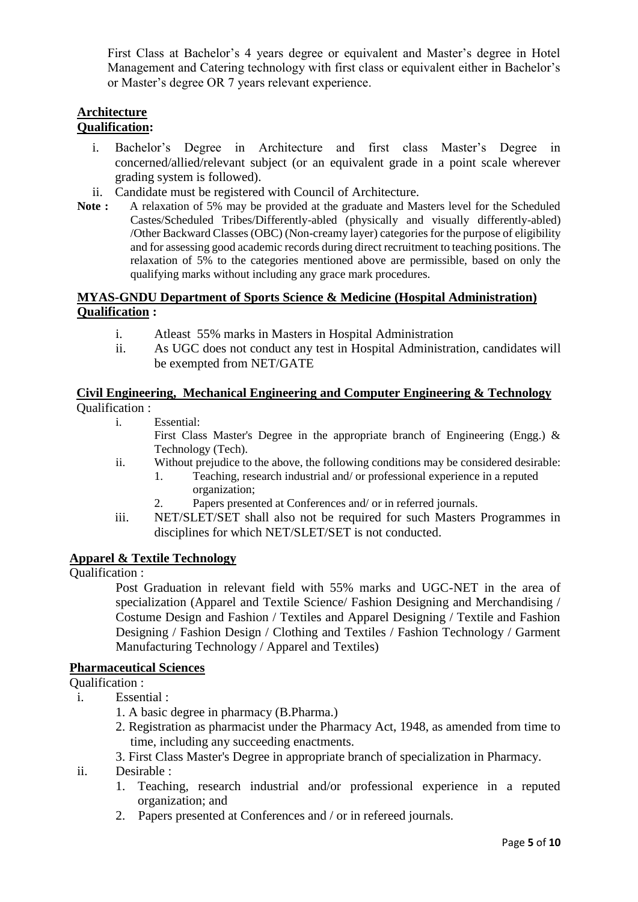First Class at Bachelor's 4 years degree or equivalent and Master's degree in Hotel Management and Catering technology with first class or equivalent either in Bachelor's or Master's degree OR 7 years relevant experience.

# **Architecture**

# **Qualification:**

- i. Bachelor's Degree in Architecture and first class Master's Degree in concerned/allied/relevant subject (or an equivalent grade in a point scale wherever grading system is followed).
- ii. Candidate must be registered with Council of Architecture.
- **Note :** A relaxation of 5% may be provided at the graduate and Masters level for the Scheduled Castes/Scheduled Tribes/Differently-abled (physically and visually differently-abled) /Other Backward Classes (OBC) (Non-creamy layer) categories for the purpose of eligibility and for assessing good academic records during direct recruitment to teaching positions. The relaxation of 5% to the categories mentioned above are permissible, based on only the qualifying marks without including any grace mark procedures.

### **MYAS-GNDU Department of Sports Science & Medicine (Hospital Administration) Qualification :**

- i. Atleast 55% marks in Masters in Hospital Administration
- ii. As UGC does not conduct any test in Hospital Administration, candidates will be exempted from NET/GATE

### **Civil Engineering, Mechanical Engineering and Computer Engineering & Technology** Qualification :

i. Essential:

First Class Master's Degree in the appropriate branch of Engineering (Engg.) & Technology (Tech).

- ii. Without prejudice to the above, the following conditions may be considered desirable:
	- 1. Teaching, research industrial and/ or professional experience in a reputed organization;
	- 2. Papers presented at Conferences and/ or in referred journals.
- iii. NET/SLET/SET shall also not be required for such Masters Programmes in disciplines for which NET/SLET/SET is not conducted.

# **Apparel & Textile Technology**

Qualification :

Post Graduation in relevant field with 55% marks and UGC-NET in the area of specialization (Apparel and Textile Science/ Fashion Designing and Merchandising / Costume Design and Fashion / Textiles and Apparel Designing / Textile and Fashion Designing / Fashion Design / Clothing and Textiles / Fashion Technology / Garment Manufacturing Technology / Apparel and Textiles)

# **Pharmaceutical Sciences**

Qualification :

- i. Essential :
	- 1. A basic degree in pharmacy (B.Pharma.)
	- 2. Registration as pharmacist under the Pharmacy Act, 1948, as amended from time to time, including any succeeding enactments.

3. First Class Master's Degree in appropriate branch of specialization in Pharmacy.

- ii. Desirable :
	- 1. Teaching, research industrial and/or professional experience in a reputed organization; and
	- 2. Papers presented at Conferences and / or in refereed journals.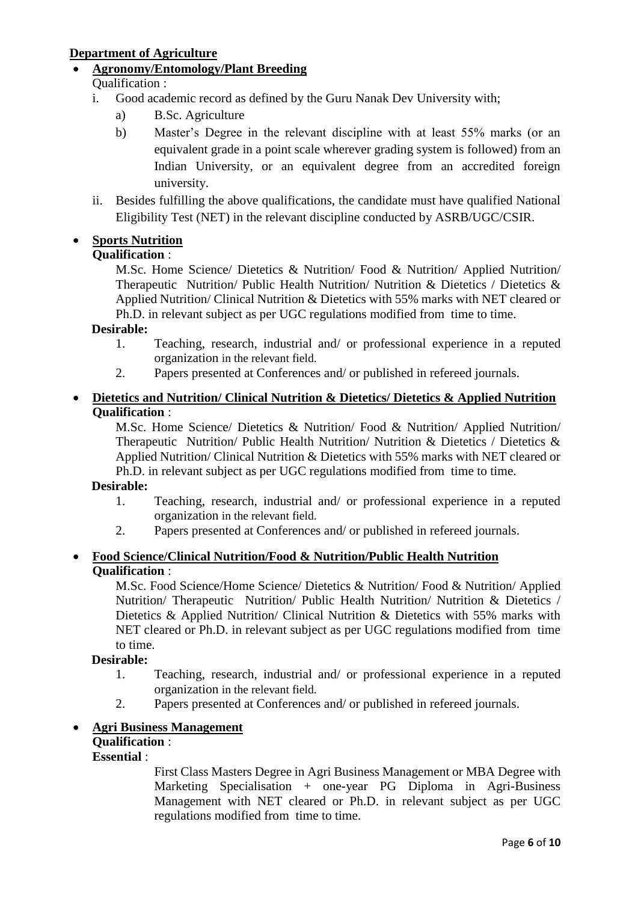# **Department of Agriculture**

**Agronomy/Entomology/Plant Breeding**

# Qualification :

- i. Good academic record as defined by the Guru Nanak Dev University with;
	- a) B.Sc. Agriculture
	- b) Master's Degree in the relevant discipline with at least 55% marks (or an equivalent grade in a point scale wherever grading system is followed) from an Indian University, or an equivalent degree from an accredited foreign university.
- ii. Besides fulfilling the above qualifications, the candidate must have qualified National Eligibility Test (NET) in the relevant discipline conducted by ASRB/UGC/CSIR.

# **Sports Nutrition**

# **Qualification** :

M.Sc. Home Science/ Dietetics & Nutrition/ Food & Nutrition/ Applied Nutrition/ Therapeutic Nutrition/ Public Health Nutrition/ Nutrition & Dietetics / Dietetics & Applied Nutrition/ Clinical Nutrition & Dietetics with 55% marks with NET cleared or Ph.D. in relevant subject as per UGC regulations modified from time to time.

### **Desirable:**

- 1. Teaching, research, industrial and/ or professional experience in a reputed organization in the relevant field.
- 2. Papers presented at Conferences and/ or published in refereed journals.

### **Dietetics and Nutrition/ Clinical Nutrition & Dietetics/ Dietetics & Applied Nutrition Qualification** :

M.Sc. Home Science/ Dietetics & Nutrition/ Food & Nutrition/ Applied Nutrition/ Therapeutic Nutrition/ Public Health Nutrition/ Nutrition & Dietetics / Dietetics & Applied Nutrition/ Clinical Nutrition & Dietetics with 55% marks with NET cleared or Ph.D. in relevant subject as per UGC regulations modified from time to time.

### **Desirable:**

- 1. Teaching, research, industrial and/ or professional experience in a reputed organization in the relevant field.
- 2. Papers presented at Conferences and/ or published in refereed journals.

# **Food Science/Clinical Nutrition/Food & Nutrition/Public Health Nutrition Qualification** :

M.Sc. Food Science/Home Science/ Dietetics & Nutrition/ Food & Nutrition/ Applied Nutrition/ Therapeutic Nutrition/ Public Health Nutrition/ Nutrition & Dietetics / Dietetics & Applied Nutrition/ Clinical Nutrition & Dietetics with 55% marks with NET cleared or Ph.D. in relevant subject as per UGC regulations modified from time to time.

# **Desirable:**

- 1. Teaching, research, industrial and/ or professional experience in a reputed organization in the relevant field.
- 2. Papers presented at Conferences and/ or published in refereed journals.

# **Agri Business Management**

# **Qualification** :

# **Essential** :

First Class Masters Degree in Agri Business Management or MBA Degree with Marketing Specialisation + one-year PG Diploma in Agri-Business Management with NET cleared or Ph.D. in relevant subject as per UGC regulations modified from time to time.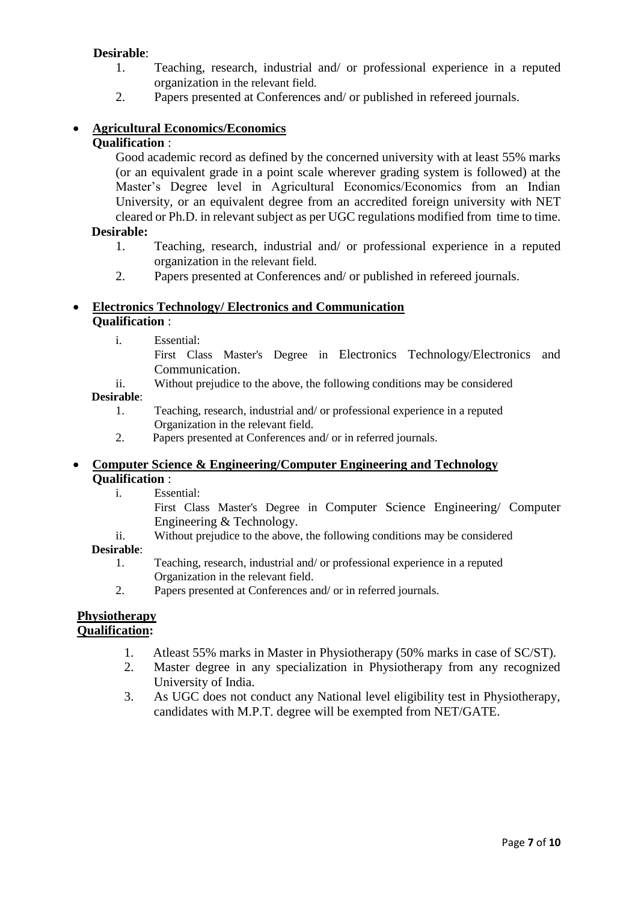# **Desirable**:

- 1. Teaching, research, industrial and/ or professional experience in a reputed organization in the relevant field.
- 2. Papers presented at Conferences and/ or published in refereed journals.

# **Agricultural Economics/Economics**

### **Qualification** :

Good academic record as defined by the concerned university with at least 55% marks (or an equivalent grade in a point scale wherever grading system is followed) at the Master's Degree level in Agricultural Economics/Economics from an Indian University, or an equivalent degree from an accredited foreign university with NET cleared or Ph.D. in relevant subject as per UGC regulations modified from time to time.

### **Desirable:**

- 1. Teaching, research, industrial and/ or professional experience in a reputed organization in the relevant field.
- 2. Papers presented at Conferences and/ or published in refereed journals.

### **Electronics Technology/ Electronics and Communication Qualification** :

i. Essential:

First Class Master's Degree in Electronics Technology/Electronics and Communication.

ii. Without prejudice to the above, the following conditions may be considered

### **Desirable**:

- 1. Teaching, research, industrial and/ or professional experience in a reputed Organization in the relevant field.
- 2. Papers presented at Conferences and/ or in referred journals.

### **Computer Science & Engineering/Computer Engineering and Technology Qualification** :

i. Essential:

First Class Master's Degree in Computer Science Engineering/ Computer Engineering & Technology.

ii. Without prejudice to the above, the following conditions may be considered

### **Desirable**:

- 1. Teaching, research, industrial and/ or professional experience in a reputed Organization in the relevant field.
- 2. Papers presented at Conferences and/ or in referred journals.

#### **Physiotherapy Qualification:**

- 1. Atleast 55% marks in Master in Physiotherapy (50% marks in case of SC/ST).
- 2. Master degree in any specialization in Physiotherapy from any recognized University of India.
- 3. As UGC does not conduct any National level eligibility test in Physiotherapy, candidates with M.P.T. degree will be exempted from NET/GATE.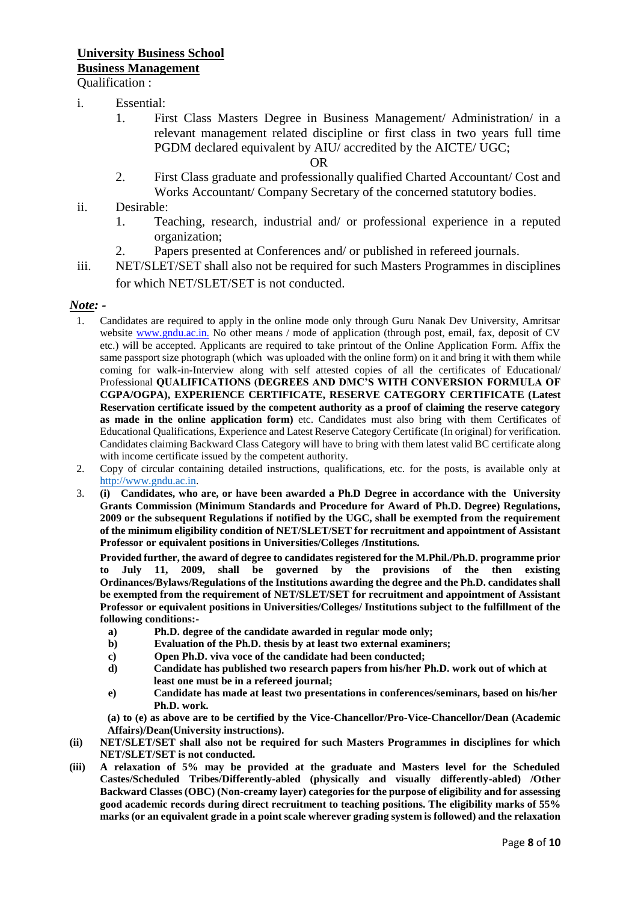#### i. Essential:

1. First Class Masters Degree in Business Management/ Administration/ in a relevant management related discipline or first class in two years full time PGDM declared equivalent by AIU/ accredited by the AICTE/ UGC;

OR

- 2. First Class graduate and professionally qualified Charted Accountant/ Cost and Works Accountant/ Company Secretary of the concerned statutory bodies.
- ii. Desirable:
	- 1. Teaching, research, industrial and/ or professional experience in a reputed organization;
	- 2. Papers presented at Conferences and/ or published in refereed journals.
- iii. NET/SLET/SET shall also not be required for such Masters Programmes in disciplines for which NET/SLET/SET is not conducted.

#### *Note: -*

- 1. Candidates are required to apply in the online mode only through Guru Nanak Dev University, Amritsar website www.gndu.ac.in. No other means / mode of application (through post, email, fax, deposit of CV etc.) will be accepted. Applicants are required to take printout of the Online Application Form. Affix the same passport size photograph (which was uploaded with the online form) on it and bring it with them while coming for walk-in-Interview along with self attested copies of all the certificates of Educational/ Professional **QUALIFICATIONS (DEGREES AND DMC'S WITH CONVERSION FORMULA OF CGPA/OGPA), EXPERIENCE CERTIFICATE, RESERVE CATEGORY CERTIFICATE (Latest Reservation certificate issued by the competent authority as a proof of claiming the reserve category as made in the online application form)** etc. Candidates must also bring with them Certificates of Educational Qualifications, Experience and Latest Reserve Category Certificate (In original) for verification. Candidates claiming Backward Class Category will have to bring with them latest valid BC certificate along with income certificate issued by the competent authority.
- 2. Copy of circular containing detailed instructions, qualifications, etc. for the posts, is available only at [http://www.gndu.ac.in.](http://www.gndu.ac.in/)
- 3. **(i) Candidates, who are, or have been awarded a Ph.D Degree in accordance with the University Grants Commission (Minimum Standards and Procedure for Award of Ph.D. Degree) Regulations, 2009 or the subsequent Regulations if notified by the UGC, shall be exempted from the requirement of the minimum eligibility condition of NET/SLET/SET for recruitment and appointment of Assistant Professor or equivalent positions in Universities/Colleges /Institutions.**

**Provided further, the award of degree to candidates registered for the M.Phil./Ph.D. programme prior to July 11, 2009, shall be governed by the provisions of the then existing Ordinances/Bylaws/Regulations of the Institutions awarding the degree and the Ph.D. candidates shall be exempted from the requirement of NET/SLET/SET for recruitment and appointment of Assistant Professor or equivalent positions in Universities/Colleges/ Institutions subject to the fulfillment of the following conditions:-**

- **a) Ph.D. degree of the candidate awarded in regular mode only;**
- **b) Evaluation of the Ph.D. thesis by at least two external examiners;**
- **c) Open Ph.D. viva voce of the candidate had been conducted;**
- **d) Candidate has published two research papers from his/her Ph.D. work out of which at least one must be in a refereed journal;**
- **e) Candidate has made at least two presentations in conferences/seminars, based on his/her Ph.D. work.**

**(a) to (e) as above are to be certified by the Vice-Chancellor/Pro-Vice-Chancellor/Dean (Academic Affairs)/Dean(University instructions).**

- **(ii) NET/SLET/SET shall also not be required for such Masters Programmes in disciplines for which NET/SLET/SET is not conducted.**
- **(iii) A relaxation of 5% may be provided at the graduate and Masters level for the Scheduled Castes/Scheduled Tribes/Differently-abled (physically and visually differently-abled) /Other Backward Classes (OBC) (Non-creamy layer) categories for the purpose of eligibility and for assessing good academic records during direct recruitment to teaching positions. The eligibility marks of 55% marks (or an equivalent grade in a point scale wherever grading system is followed) and the relaxation**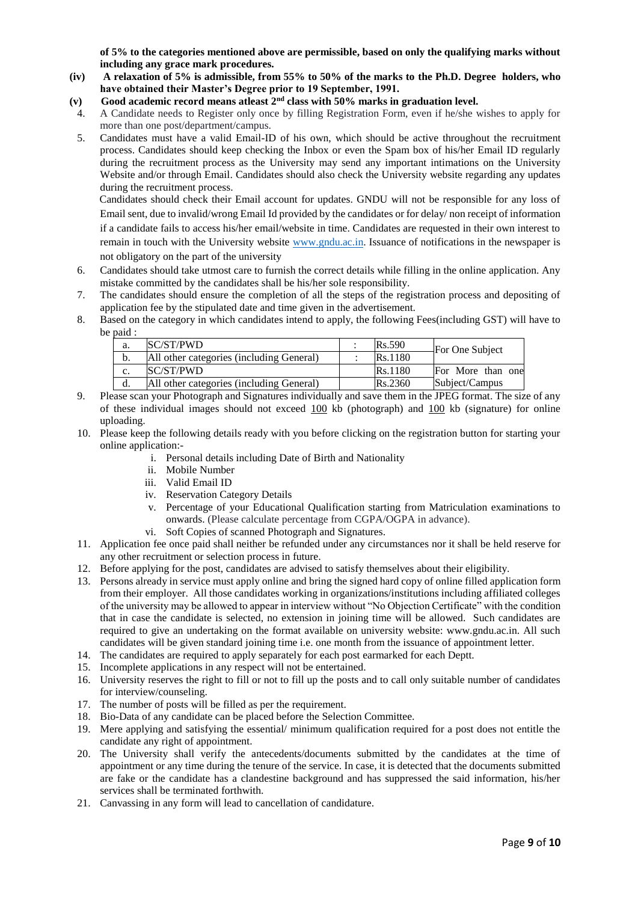**of 5% to the categories mentioned above are permissible, based on only the qualifying marks without including any grace mark procedures.** 

- **(iv) A relaxation of 5% is admissible, from 55% to 50% of the marks to the Ph.D. Degree holders, who have obtained their Master's Degree prior to 19 September, 1991.**
- **(v) Good academic record means atleast 2nd class with 50% marks in graduation level.**
- 4. A Candidate needs to Register only once by filling Registration Form, even if he/she wishes to apply for more than one post/department/campus.
- 5. Candidates must have a valid Email-ID of his own, which should be active throughout the recruitment process. Candidates should keep checking the Inbox or even the Spam box of his/her Email ID regularly during the recruitment process as the University may send any important intimations on the University Website and/or through Email. Candidates should also check the University website regarding any updates during the recruitment process.

 Candidates should check their Email account for updates. GNDU will not be responsible for any loss of Email sent, due to invalid/wrong Email Id provided by the candidates or for delay/ non receipt of information if a candidate fails to access his/her email/website in time. Candidates are requested in their own interest to remain in touch with the University website [www.gndu.ac.in.](http://www.gndu.ac.in/) Issuance of notifications in the newspaper is not obligatory on the part of the university

- 6. Candidates should take utmost care to furnish the correct details while filling in the online application. Any mistake committed by the candidates shall be his/her sole responsibility.
- 7. The candidates should ensure the completion of all the steps of the registration process and depositing of application fee by the stipulated date and time given in the advertisement.
- 8. Based on the category in which candidates intend to apply, the following Fees(including GST) will have to be paid :

| a. | SC/ST/PWD                                | <b>Rs.590</b> | For One Subject   |
|----|------------------------------------------|---------------|-------------------|
| b. | All other categories (including General) | Rs.1180       |                   |
| c. | SC/ST/PWD                                | Rs.1180       | For More than one |
| a. | All other categories (including General) | Rs.2360       | Subject/Campus    |

- 9. Please scan your Photograph and Signatures individually and save them in the JPEG format. The size of any of these individual images should not exceed 100 kb (photograph) and 100 kb (signature) for online uploading.
- 10. Please keep the following details ready with you before clicking on the registration button for starting your online application:
	- i. Personal details including Date of Birth and Nationality
	- ii. Mobile Number
	- iii. Valid Email ID
	- iv. Reservation Category Details
	- v. Percentage of your Educational Qualification starting from Matriculation examinations to onwards. (Please calculate percentage from CGPA/OGPA in advance).
	- vi. Soft Copies of scanned Photograph and Signatures.
- 11. Application fee once paid shall neither be refunded under any circumstances nor it shall be held reserve for any other recruitment or selection process in future.
- 12. Before applying for the post, candidates are advised to satisfy themselves about their eligibility.
- 13. Persons already in service must apply online and bring the signed hard copy of online filled application form from their employer. All those candidates working in organizations/institutions including affiliated colleges of the university may be allowed to appear in interview without "No Objection Certificate" with the condition that in case the candidate is selected, no extension in joining time will be allowed. Such candidates are required to give an undertaking on the format available on university website: www.gndu.ac.in. All such candidates will be given standard joining time i.e. one month from the issuance of appointment letter.
- 14. The candidates are required to apply separately for each post earmarked for each Deptt.
- 15. Incomplete applications in any respect will not be entertained.
- 16. University reserves the right to fill or not to fill up the posts and to call only suitable number of candidates for interview/counseling.
- 17. The number of posts will be filled as per the requirement.
- 18. Bio-Data of any candidate can be placed before the Selection Committee.
- 19. Mere applying and satisfying the essential/ minimum qualification required for a post does not entitle the candidate any right of appointment.
- 20. The University shall verify the antecedents/documents submitted by the candidates at the time of appointment or any time during the tenure of the service. In case, it is detected that the documents submitted are fake or the candidate has a clandestine background and has suppressed the said information, his/her services shall be terminated forthwith.
- 21. Canvassing in any form will lead to cancellation of candidature.